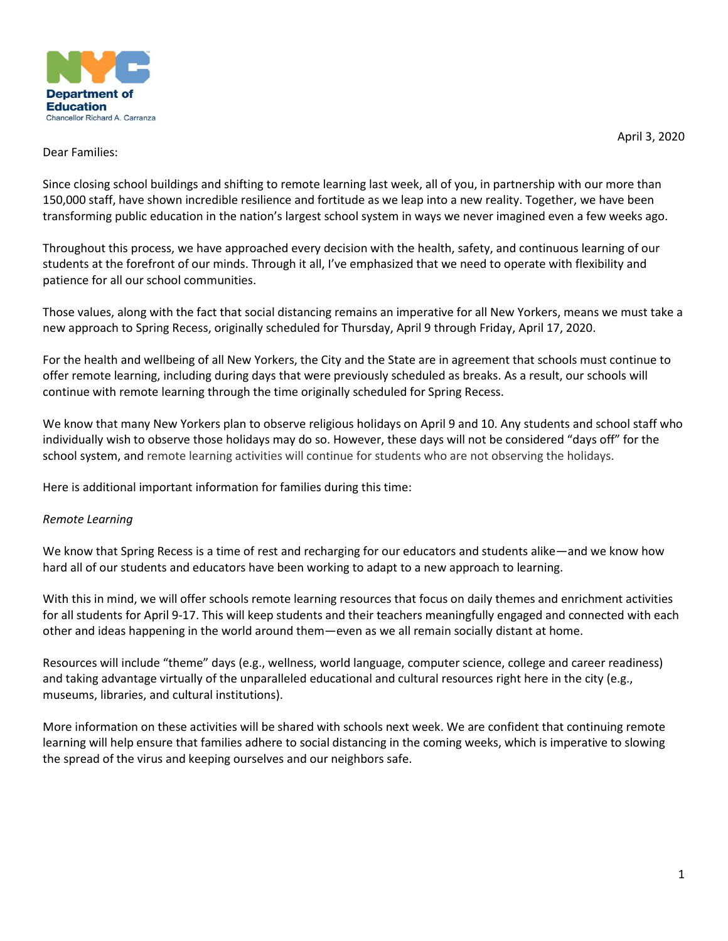

April 3, 2020

## Dear Families:

Since closing school buildings and shifting to remote learning last week, all of you, in partnership with our more than 150,000 staff, have shown incredible resilience and fortitude as we leap into a new reality. Together, we have been transforming public education in the nation's largest school system in ways we never imagined even a few weeks ago.

Throughout this process, we have approached every decision with the health, safety, and continuous learning of our students at the forefront of our minds. Through it all, I've emphasized that we need to operate with flexibility and patience for all our school communities.

Those values, along with the fact that social distancing remains an imperative for all New Yorkers, means we must take a new approach to Spring Recess, originally scheduled for Thursday, April 9 through Friday, April 17, 2020.

For the health and wellbeing of all New Yorkers, the City and the State are in agreement that schools must continue to offer remote learning, including during days that were previously scheduled as breaks. As a result, our schools will continue with remote learning through the time originally scheduled for Spring Recess.

We know that many New Yorkers plan to observe religious holidays on April 9 and 10. Any students and school staff who individually wish to observe those holidays may do so. However, these days will not be considered "days off" for the school system, and remote learning activities will continue for students who are not observing the holidays.

Here is additional important information for families during this time:

# *Remote Learning*

We know that Spring Recess is a time of rest and recharging for our educators and students alike—and we know how hard all of our students and educators have been working to adapt to a new approach to learning.

With this in mind, we will offer schools remote learning resources that focus on daily themes and enrichment activities for all students for April 9-17. This will keep students and their teachers meaningfully engaged and connected with each other and ideas happening in the world around them—even as we all remain socially distant at home.

Resources will include "theme" days (e.g., wellness, world language, computer science, college and career readiness) and taking advantage virtually of the unparalleled educational and cultural resources right here in the city (e.g., museums, libraries, and cultural institutions).

More information on these activities will be shared with schools next week. We are confident that continuing remote learning will help ensure that families adhere to social distancing in the coming weeks, which is imperative to slowing the spread of the virus and keeping ourselves and our neighbors safe.